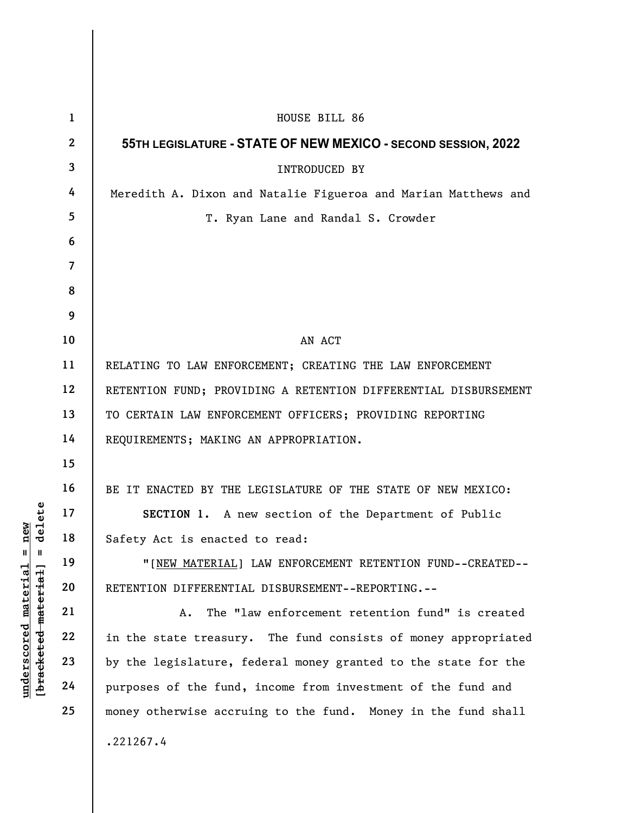|                                                                                       | $\mathbf{1}$   | HOUSE BILL 86                                                   |
|---------------------------------------------------------------------------------------|----------------|-----------------------------------------------------------------|
| delete<br>new<br>$^{\mathsf{II}}$<br>$\mathbf{I}$<br>material<br>[bracketed material] | $\mathbf{2}$   | 55TH LEGISLATURE - STATE OF NEW MEXICO - SECOND SESSION, 2022   |
|                                                                                       | $\mathbf{3}$   | <b>INTRODUCED BY</b>                                            |
|                                                                                       | 4              | Meredith A. Dixon and Natalie Figueroa and Marian Matthews and  |
|                                                                                       | 5              | T. Ryan Lane and Randal S. Crowder                              |
|                                                                                       | 6              |                                                                 |
|                                                                                       | $\overline{7}$ |                                                                 |
|                                                                                       | 8              |                                                                 |
|                                                                                       | 9              |                                                                 |
|                                                                                       | 10             | AN ACT                                                          |
|                                                                                       | 11             | RELATING TO LAW ENFORCEMENT; CREATING THE LAW ENFORCEMENT       |
|                                                                                       | 12             | RETENTION FUND; PROVIDING A RETENTION DIFFERENTIAL DISBURSEMENT |
|                                                                                       | 13             | TO CERTAIN LAW ENFORCEMENT OFFICERS; PROVIDING REPORTING        |
|                                                                                       | 14             | REQUIREMENTS; MAKING AN APPROPRIATION.                          |
|                                                                                       | 15             |                                                                 |
|                                                                                       | 16             | BE IT ENACTED BY THE LEGISLATURE OF THE STATE OF NEW MEXICO:    |
|                                                                                       | 17             | SECTION 1. A new section of the Department of Public            |
|                                                                                       | 18             | Safety Act is enacted to read:                                  |
|                                                                                       | 19             | "[NEW MATERIAL] LAW ENFORCEMENT RETENTION FUND--CREATED--       |
|                                                                                       | 20             | RETENTION DIFFERENTIAL DISBURSEMENT--REPORTING.--               |
|                                                                                       | 21             | The "law enforcement retention fund" is created<br>Α.           |
|                                                                                       | 22             | in the state treasury. The fund consists of money appropriated  |
| underscored                                                                           | 23             | by the legislature, federal money granted to the state for the  |
|                                                                                       | 24             | purposes of the fund, income from investment of the fund and    |
|                                                                                       | 25             | money otherwise accruing to the fund. Money in the fund shall   |
|                                                                                       |                | .221267.4                                                       |
|                                                                                       |                |                                                                 |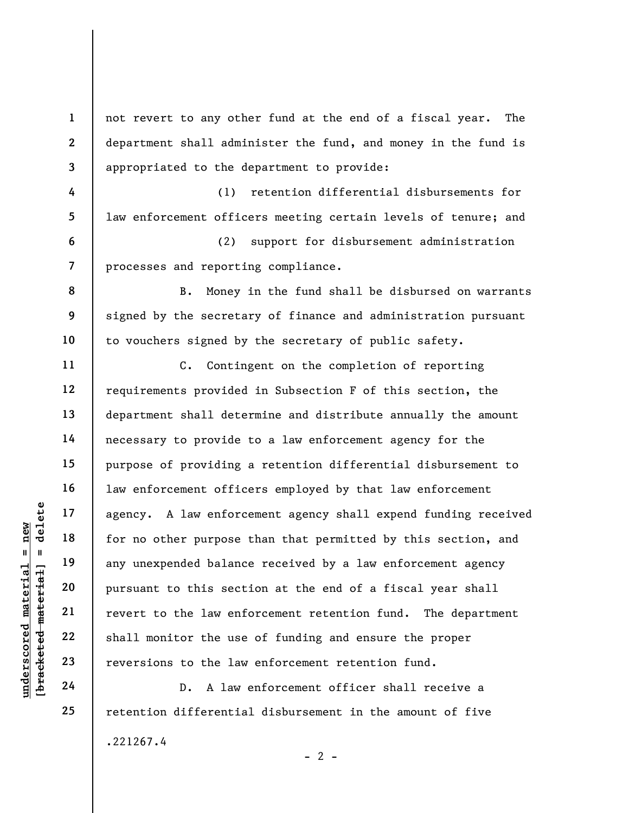2 3 4 5 6 7 8 9 10 11 12 13 department shall administer the fund, and money in the fund is appropriated to the department to provide: (1) retention differential disbursements for law enforcement officers meeting certain levels of tenure; and (2) support for disbursement administration processes and reporting compliance. B. Money in the fund shall be disbursed on warrants signed by the secretary of finance and administration pursuant to vouchers signed by the secretary of public safety. C. Contingent on the completion of reporting requirements provided in Subsection F of this section, the

not revert to any other fund at the end of a fiscal year. The

underscored material = new [bracketed material] = delete department shall determine and distribute annually the amount necessary to provide to a law enforcement agency for the purpose of providing a retention differential disbursement to law enforcement officers employed by that law enforcement agency. A law enforcement agency shall expend funding received for no other purpose than that permitted by this section, and any unexpended balance received by a law enforcement agency pursuant to this section at the end of a fiscal year shall revert to the law enforcement retention fund. The department shall monitor the use of funding and ensure the proper reversions to the law enforcement retention fund.

D. A law enforcement officer shall receive a retention differential disbursement in the amount of five .221267.4  $- 2 -$ 

24 25

14

15

16

17

18

19

20

21

22

23

1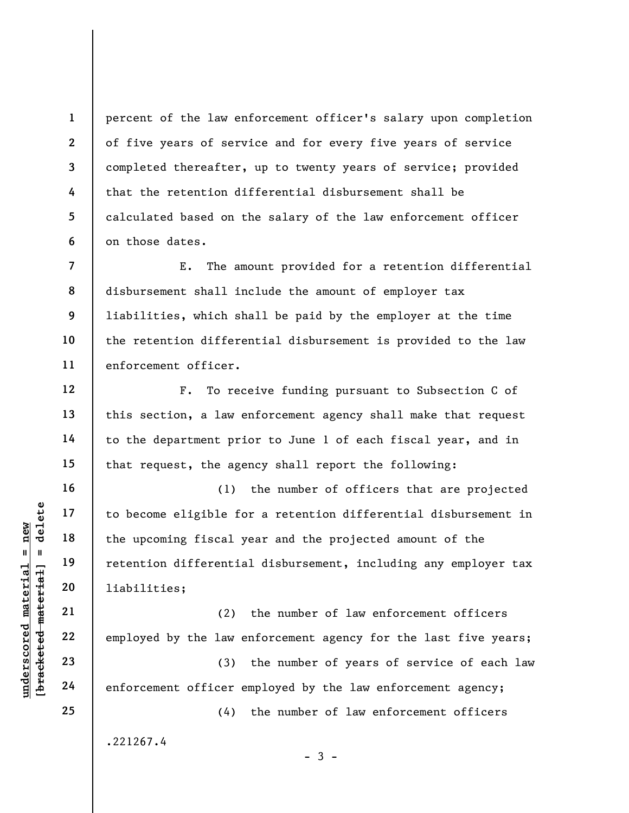percent of the law enforcement officer's salary upon completion of five years of service and for every five years of service completed thereafter, up to twenty years of service; provided that the retention differential disbursement shall be calculated based on the salary of the law enforcement officer on those dates.

E. The amount provided for a retention differential disbursement shall include the amount of employer tax liabilities, which shall be paid by the employer at the time the retention differential disbursement is provided to the law enforcement officer.

F. To receive funding pursuant to Subsection C of this section, a law enforcement agency shall make that request to the department prior to June 1 of each fiscal year, and in that request, the agency shall report the following:

understand material species of the upcoming fiscal y<br>
except in 19<br>
deleted material species of the upcoming fiscal y<br>
retention differential<br>
20<br>
deleted material<br>
22<br>
23<br>
24<br>
employed by the law e<br>
23<br>
24<br>
emforcement of (1) the number of officers that are projected to become eligible for a retention differential disbursement in the upcoming fiscal year and the projected amount of the retention differential disbursement, including any employer tax liabilities;

(2) the number of law enforcement officers employed by the law enforcement agency for the last five years;

(3) the number of years of service of each law enforcement officer employed by the law enforcement agency;

 $-3 -$ 

(4) the number of law enforcement officers

.221267.4

1

2

3

4

5

6

7

8

9

10

11

12

13

14

15

16

17

18

19

20

21

22

23

24

25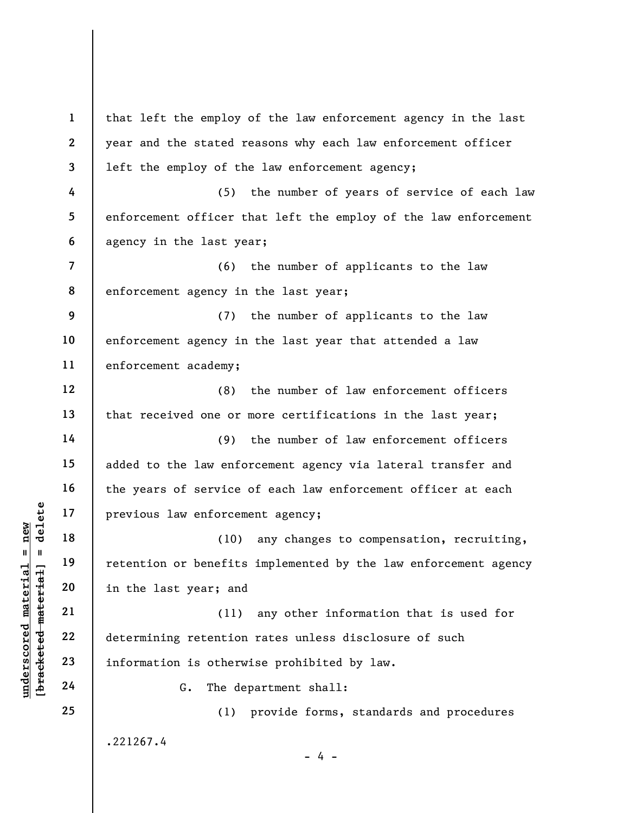|                                             | $\mathbf{1}$             | that left the employ of the law enforcement agency in the last  |
|---------------------------------------------|--------------------------|-----------------------------------------------------------------|
|                                             | $\mathbf{2}$             | year and the stated reasons why each law enforcement officer    |
|                                             | 3                        | left the employ of the law enforcement agency;                  |
|                                             | 4                        | (5)<br>the number of years of service of each law               |
|                                             | 5                        | enforcement officer that left the employ of the law enforcement |
|                                             | 6                        | agency in the last year;                                        |
|                                             | $\overline{\phantom{a}}$ | (6)<br>the number of applicants to the law                      |
|                                             | 8                        | enforcement agency in the last year;                            |
|                                             | 9                        | the number of applicants to the law<br>(7)                      |
|                                             | 10                       | enforcement agency in the last year that attended a law         |
|                                             | 11                       | enforcement academy;                                            |
|                                             | 12                       | the number of law enforcement officers<br>(8)                   |
|                                             | 13                       | that received one or more certifications in the last year;      |
|                                             | 14                       | the number of law enforcement officers<br>(9)                   |
|                                             | 15                       | added to the law enforcement agency via lateral transfer and    |
|                                             | 16                       | the years of service of each law enforcement officer at each    |
| delete                                      | 17                       | previous law enforcement agency;                                |
| new<br>$\mathbf{II}$<br>- II                | 18                       | (10)<br>any changes to compensation, recruiting,                |
|                                             | 19                       | retention or benefits implemented by the law enforcement agency |
|                                             | 20                       | in the last year; and                                           |
| underscored material<br>bracketed material] | 21                       | any other information that is used for<br>(11)                  |
|                                             | 22                       | determining retention rates unless disclosure of such           |
|                                             | 23                       | information is otherwise prohibited by law.                     |
|                                             | 24                       | The department shall:<br>G.                                     |
|                                             | 25                       | provide forms, standards and procedures<br>(1)                  |
|                                             |                          | .221267.4                                                       |
|                                             |                          | 4 -                                                             |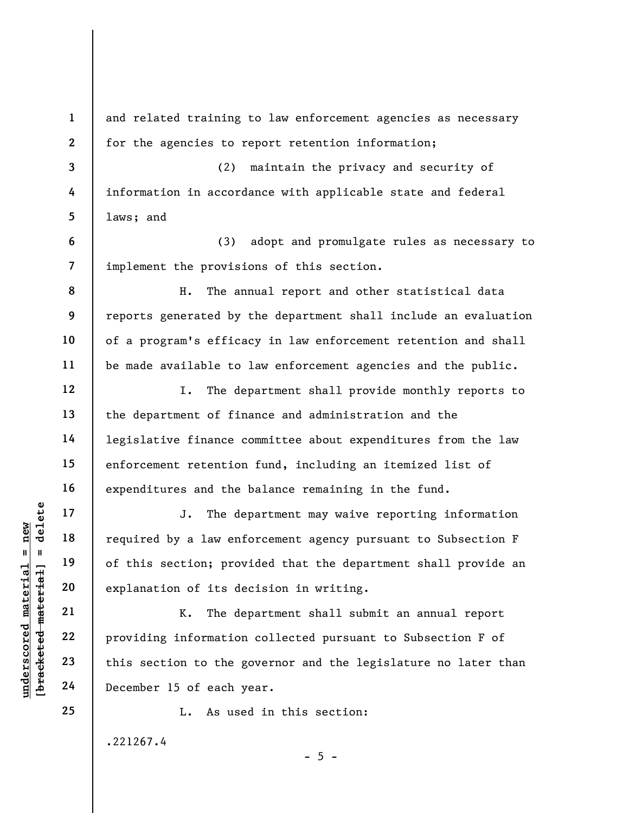UN DEN 17<br>
UN DEN 18<br>
UN DEN 19<br>
UN DEN 19<br>
UN DEN 19<br>
UN DEN 19<br>
UN DEN 19<br>
UN DEN 19<br>
UN DEN 19<br>
UN DEN 19<br>
UN DEN 19<br>
UN DEN 19<br>
UN DEN 19<br>
UN DEN 19<br>
UN DEN 19<br>
UN DEN 19<br>
UN DEN 19<br>
UN DEN 19<br>
UN DEN 19<br>
UN DEN 19<br>
UN 1 2 3 4 5 6 7 8 9 10 11 12 13 14 15 16 17 18 19 20 21 22 23 24 25 and related training to law enforcement agencies as necessary for the agencies to report retention information; (2) maintain the privacy and security of information in accordance with applicable state and federal laws; and (3) adopt and promulgate rules as necessary to implement the provisions of this section. H. The annual report and other statistical data reports generated by the department shall include an evaluation of a program's efficacy in law enforcement retention and shall be made available to law enforcement agencies and the public. I. The department shall provide monthly reports to the department of finance and administration and the legislative finance committee about expenditures from the law enforcement retention fund, including an itemized list of expenditures and the balance remaining in the fund. J. The department may waive reporting information required by a law enforcement agency pursuant to Subsection F of this section; provided that the department shall provide an explanation of its decision in writing. K. The department shall submit an annual report providing information collected pursuant to Subsection F of this section to the governor and the legislature no later than December 15 of each year. L. As used in this section: .221267.4  $- 5 -$